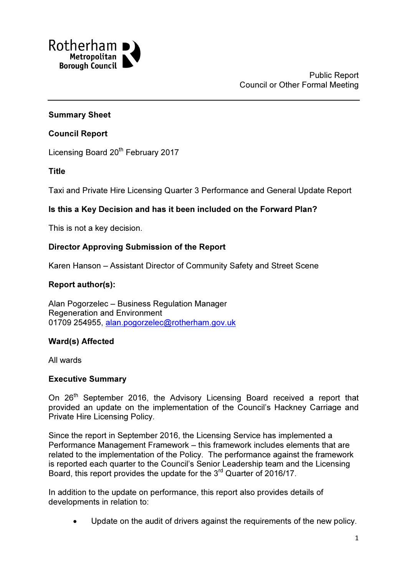

# Summary Sheet

## Council Report

Licensing Board 20<sup>th</sup> February 2017

Title

Taxi and Private Hire Licensing Quarter 3 Performance and General Update Report

# Is this a Key Decision and has it been included on the Forward Plan?

This is not a key decision.

### Director Approving Submission of the Report

Karen Hanson – Assistant Director of Community Safety and Street Scene

# Report author(s):

Alan Pogorzelec – Business Regulation Manager Regeneration and Environment 01709 254955, alan.pogorzelec@rotherham.gov.uk

# Ward(s) Affected

All wards

### Executive Summary

On 26<sup>th</sup> September 2016, the Advisory Licensing Board received a report that provided an update on the implementation of the Council's Hackney Carriage and Private Hire Licensing Policy.

Since the report in September 2016, the Licensing Service has implemented a Performance Management Framework – this framework includes elements that are related to the implementation of the Policy. The performance against the framework is reported each quarter to the Council's Senior Leadership team and the Licensing Board, this report provides the update for the 3<sup>rd</sup> Quarter of 2016/17.

In addition to the update on performance, this report also provides details of developments in relation to:

Update on the audit of drivers against the requirements of the new policy.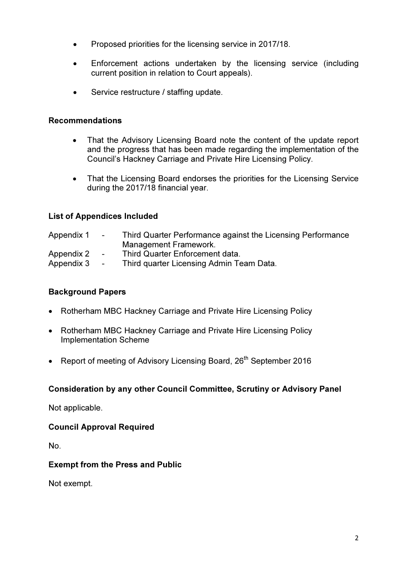- Proposed priorities for the licensing service in 2017/18.
- Enforcement actions undertaken by the licensing service (including current position in relation to Court appeals).
- Service restructure / staffing update.

## Recommendations

- That the Advisory Licensing Board note the content of the update report and the progress that has been made regarding the implementation of the Council's Hackney Carriage and Private Hire Licensing Policy.
- That the Licensing Board endorses the priorities for the Licensing Service during the 2017/18 financial year.

# List of Appendices Included

| Appendix 1 | $\sim$ 100 $\mu$ | Third Quarter Performance against the Licensing Performance |
|------------|------------------|-------------------------------------------------------------|
|            |                  | Management Framework.                                       |
| Appendix 2 | $\sim$ 10 $\pm$  | Third Quarter Enforcement data.                             |
| Appendix 3 | $\sim$ 100 $\mu$ | Third quarter Licensing Admin Team Data.                    |

# Background Papers

- Rotherham MBC Hackney Carriage and Private Hire Licensing Policy
- Rotherham MBC Hackney Carriage and Private Hire Licensing Policy Implementation Scheme
- Report of meeting of Advisory Licensing Board, 26<sup>th</sup> September 2016

### Consideration by any other Council Committee, Scrutiny or Advisory Panel

Not applicable.

### Council Approval Required

No.

### Exempt from the Press and Public

Not exempt.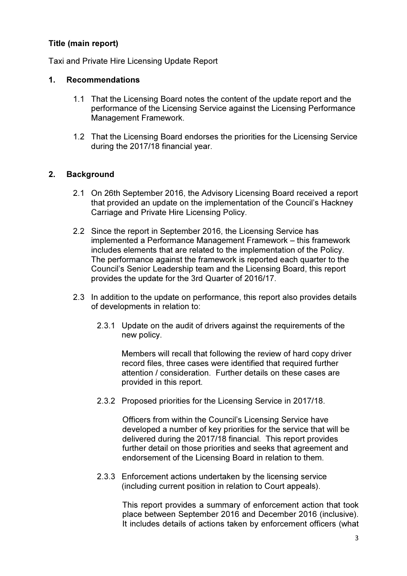# Title (main report)

Taxi and Private Hire Licensing Update Report

# 1. Recommendations

- 1.1 That the Licensing Board notes the content of the update report and the performance of the Licensing Service against the Licensing Performance Management Framework.
- 1.2 That the Licensing Board endorses the priorities for the Licensing Service during the 2017/18 financial year.

# 2. Background

- 2.1 On 26th September 2016, the Advisory Licensing Board received a report that provided an update on the implementation of the Council's Hackney Carriage and Private Hire Licensing Policy.
- 2.2 Since the report in September 2016, the Licensing Service has implemented a Performance Management Framework – this framework includes elements that are related to the implementation of the Policy. The performance against the framework is reported each quarter to the Council's Senior Leadership team and the Licensing Board, this report provides the update for the 3rd Quarter of 2016/17.
- 2.3 In addition to the update on performance, this report also provides details of developments in relation to:
	- 2.3.1 Update on the audit of drivers against the requirements of the new policy.

Members will recall that following the review of hard copy driver record files, three cases were identified that required further attention / consideration. Further details on these cases are provided in this report.

2.3.2 Proposed priorities for the Licensing Service in 2017/18.

Officers from within the Council's Licensing Service have developed a number of key priorities for the service that will be delivered during the 2017/18 financial. This report provides further detail on those priorities and seeks that agreement and endorsement of the Licensing Board in relation to them.

2.3.3 Enforcement actions undertaken by the licensing service (including current position in relation to Court appeals).

> This report provides a summary of enforcement action that took place between September 2016 and December 2016 (inclusive). It includes details of actions taken by enforcement officers (what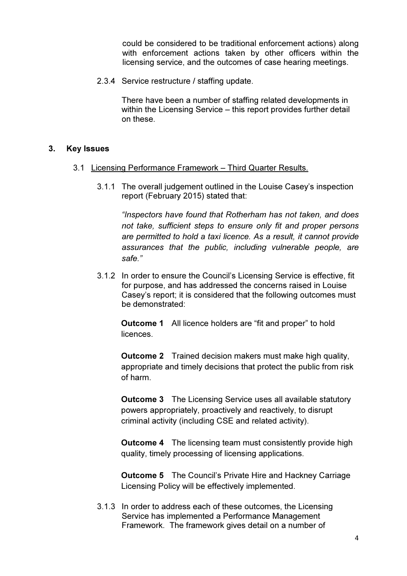could be considered to be traditional enforcement actions) along with enforcement actions taken by other officers within the licensing service, and the outcomes of case hearing meetings.

2.3.4 Service restructure / staffing update.

There have been a number of staffing related developments in within the Licensing Service – this report provides further detail on these.

### 3. Key Issues

- 3.1 Licensing Performance Framework Third Quarter Results.
	- 3.1.1 The overall judgement outlined in the Louise Casey's inspection report (February 2015) stated that:

"Inspectors have found that Rotherham has not taken, and does not take, sufficient steps to ensure only fit and proper persons are permitted to hold a taxi licence. As a result, it cannot provide assurances that the public, including vulnerable people, are safe."

3.1.2 In order to ensure the Council's Licensing Service is effective, fit for purpose, and has addressed the concerns raised in Louise Casey's report; it is considered that the following outcomes must be demonstrated:

**Outcome 1** All licence holders are "fit and proper" to hold **licences** 

**Outcome 2** Trained decision makers must make high quality, appropriate and timely decisions that protect the public from risk of harm.

**Outcome 3** The Licensing Service uses all available statutory powers appropriately, proactively and reactively, to disrupt criminal activity (including CSE and related activity).

**Outcome 4** The licensing team must consistently provide high quality, timely processing of licensing applications.

Outcome 5 The Council's Private Hire and Hackney Carriage Licensing Policy will be effectively implemented.

3.1.3 In order to address each of these outcomes, the Licensing Service has implemented a Performance Management Framework. The framework gives detail on a number of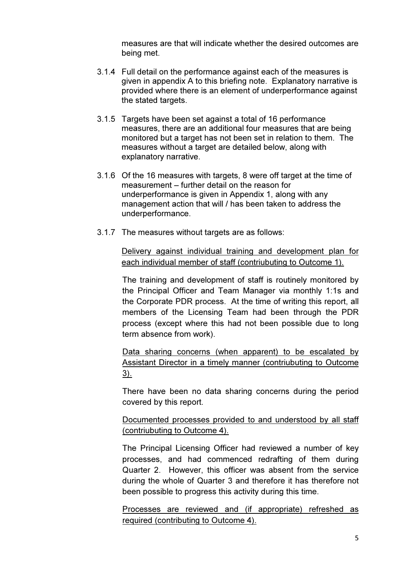measures are that will indicate whether the desired outcomes are being met.

- 3.1.4 Full detail on the performance against each of the measures is given in appendix A to this briefing note. Explanatory narrative is provided where there is an element of underperformance against the stated targets.
- 3.1.5 Targets have been set against a total of 16 performance measures, there are an additional four measures that are being monitored but a target has not been set in relation to them. The measures without a target are detailed below, along with explanatory narrative.
- 3.1.6 Of the 16 measures with targets, 8 were off target at the time of measurement – further detail on the reason for underperformance is given in Appendix 1, along with any management action that will / has been taken to address the underperformance.
- 3.1.7 The measures without targets are as follows:

Delivery against individual training and development plan for each individual member of staff (contriubuting to Outcome 1).

The training and development of staff is routinely monitored by the Principal Officer and Team Manager via monthly 1:1s and the Corporate PDR process. At the time of writing this report, all members of the Licensing Team had been through the PDR process (except where this had not been possible due to long term absence from work).

Data sharing concerns (when apparent) to be escalated by Assistant Director in a timely manner (contriubuting to Outcome 3).

There have been no data sharing concerns during the period covered by this report.

Documented processes provided to and understood by all staff (contriubuting to Outcome 4).

The Principal Licensing Officer had reviewed a number of key processes, and had commenced redrafting of them during Quarter 2. However, this officer was absent from the service during the whole of Quarter 3 and therefore it has therefore not been possible to progress this activity during this time.

Processes are reviewed and (if appropriate) refreshed as required (contributing to Outcome 4).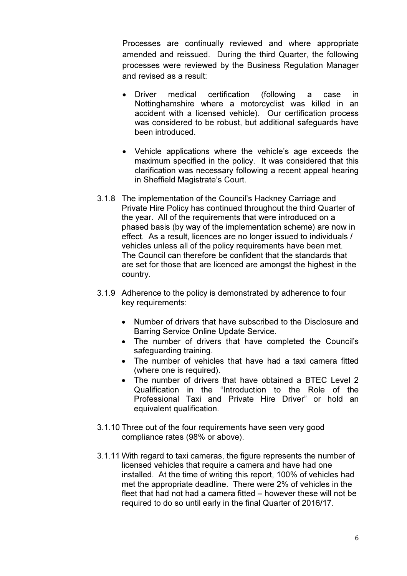Processes are continually reviewed and where appropriate amended and reissued. During the third Quarter, the following processes were reviewed by the Business Regulation Manager and revised as a result:

- Driver medical certification (following a case in Nottinghamshire where a motorcyclist was killed in an accident with a licensed vehicle). Our certification process was considered to be robust, but additional safeguards have been introduced.
- Vehicle applications where the vehicle's age exceeds the maximum specified in the policy. It was considered that this clarification was necessary following a recent appeal hearing in Sheffield Magistrate's Court.
- 3.1.8 The implementation of the Council's Hackney Carriage and Private Hire Policy has continued throughout the third Quarter of the year. All of the requirements that were introduced on a phased basis (by way of the implementation scheme) are now in effect. As a result, licences are no longer issued to individuals / vehicles unless all of the policy requirements have been met. The Council can therefore be confident that the standards that are set for those that are licenced are amongst the highest in the country.
- 3.1.9 Adherence to the policy is demonstrated by adherence to four key requirements:
	- Number of drivers that have subscribed to the Disclosure and Barring Service Online Update Service.
	- The number of drivers that have completed the Council's safeguarding training.
	- The number of vehicles that have had a taxi camera fitted (where one is required).
	- The number of drivers that have obtained a BTEC Level 2 Qualification in the "Introduction to the Role of the Professional Taxi and Private Hire Driver" or hold an equivalent qualification.
- 3.1.10 Three out of the four requirements have seen very good compliance rates (98% or above).
- 3.1.11 With regard to taxi cameras, the figure represents the number of licensed vehicles that require a camera and have had one installed. At the time of writing this report, 100% of vehicles had met the appropriate deadline. There were 2% of vehicles in the fleet that had not had a camera fitted – however these will not be required to do so until early in the final Quarter of 2016/17.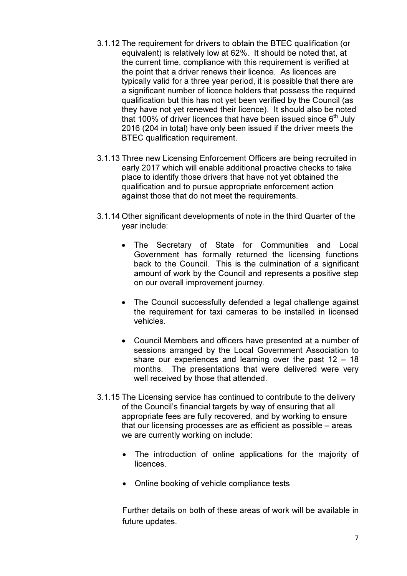- 3.1.12 The requirement for drivers to obtain the BTEC qualification (or equivalent) is relatively low at 62%. It should be noted that, at the current time, compliance with this requirement is verified at the point that a driver renews their licence. As licences are typically valid for a three year period, it is possible that there are a significant number of licence holders that possess the required qualification but this has not yet been verified by the Council (as they have not yet renewed their licence). It should also be noted that 100% of driver licences that have been issued since  $6<sup>th</sup>$  July 2016 (204 in total) have only been issued if the driver meets the BTEC qualification requirement.
- 3.1.13 Three new Licensing Enforcement Officers are being recruited in early 2017 which will enable additional proactive checks to take place to identify those drivers that have not yet obtained the qualification and to pursue appropriate enforcement action against those that do not meet the requirements.
- 3.1.14 Other significant developments of note in the third Quarter of the year include:
	- The Secretary of State for Communities and Local Government has formally returned the licensing functions back to the Council. This is the culmination of a significant amount of work by the Council and represents a positive step on our overall improvement journey.
	- The Council successfully defended a legal challenge against the requirement for taxi cameras to be installed in licensed vehicles.
	- Council Members and officers have presented at a number of sessions arranged by the Local Government Association to share our experiences and learning over the past  $12 - 18$ months. The presentations that were delivered were very well received by those that attended.
- 3.1.15 The Licensing service has continued to contribute to the delivery of the Council's financial targets by way of ensuring that all appropriate fees are fully recovered, and by working to ensure that our licensing processes are as efficient as possible – areas we are currently working on include:
	- The introduction of online applications for the majority of licences.
	- Online booking of vehicle compliance tests

Further details on both of these areas of work will be available in future updates.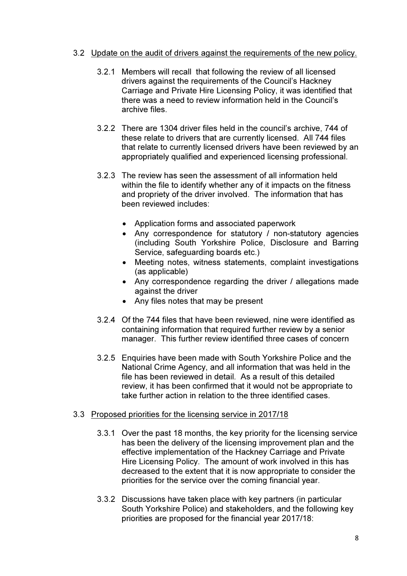### 3.2 Update on the audit of drivers against the requirements of the new policy.

- 3.2.1 Members will recall that following the review of all licensed drivers against the requirements of the Council's Hackney Carriage and Private Hire Licensing Policy, it was identified that there was a need to review information held in the Council's archive files.
- 3.2.2 There are 1304 driver files held in the council's archive, 744 of these relate to drivers that are currently licensed. All 744 files that relate to currently licensed drivers have been reviewed by an appropriately qualified and experienced licensing professional.
- 3.2.3 The review has seen the assessment of all information held within the file to identify whether any of it impacts on the fitness and propriety of the driver involved. The information that has been reviewed includes:
	- Application forms and associated paperwork
	- Any correspondence for statutory / non-statutory agencies (including South Yorkshire Police, Disclosure and Barring Service, safeguarding boards etc.)
	- Meeting notes, witness statements, complaint investigations (as applicable)
	- Any correspondence regarding the driver / allegations made against the driver
	- Any files notes that may be present
- 3.2.4 Of the 744 files that have been reviewed, nine were identified as containing information that required further review by a senior manager. This further review identified three cases of concern
- 3.2.5 Enquiries have been made with South Yorkshire Police and the National Crime Agency, and all information that was held in the file has been reviewed in detail. As a result of this detailed review, it has been confirmed that it would not be appropriate to take further action in relation to the three identified cases.

### 3.3 Proposed priorities for the licensing service in 2017/18

- 3.3.1 Over the past 18 months, the key priority for the licensing service has been the delivery of the licensing improvement plan and the effective implementation of the Hackney Carriage and Private Hire Licensing Policy. The amount of work involved in this has decreased to the extent that it is now appropriate to consider the priorities for the service over the coming financial year.
- 3.3.2 Discussions have taken place with key partners (in particular South Yorkshire Police) and stakeholders, and the following key priorities are proposed for the financial year 2017/18: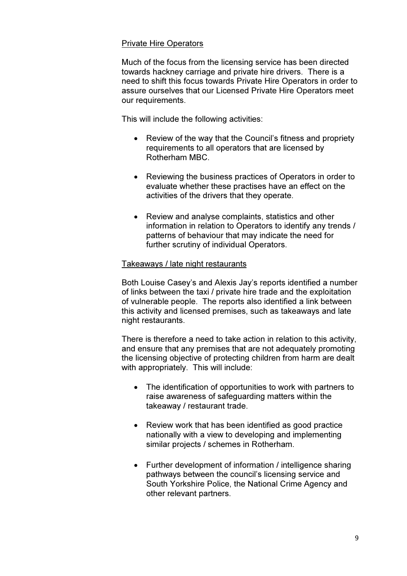#### Private Hire Operators

Much of the focus from the licensing service has been directed towards hackney carriage and private hire drivers. There is a need to shift this focus towards Private Hire Operators in order to assure ourselves that our Licensed Private Hire Operators meet our requirements.

This will include the following activities:

- Review of the way that the Council's fitness and propriety requirements to all operators that are licensed by Rotherham MBC.
- Reviewing the business practices of Operators in order to evaluate whether these practises have an effect on the activities of the drivers that they operate.
- Review and analyse complaints, statistics and other information in relation to Operators to identify any trends / patterns of behaviour that may indicate the need for further scrutiny of individual Operators.

#### Takeaways / late night restaurants

Both Louise Casey's and Alexis Jay's reports identified a number of links between the taxi / private hire trade and the exploitation of vulnerable people. The reports also identified a link between this activity and licensed premises, such as takeaways and late night restaurants.

There is therefore a need to take action in relation to this activity, and ensure that any premises that are not adequately promoting the licensing objective of protecting children from harm are dealt with appropriately. This will include:

- The identification of opportunities to work with partners to raise awareness of safeguarding matters within the takeaway / restaurant trade.
- Review work that has been identified as good practice nationally with a view to developing and implementing similar projects / schemes in Rotherham.
- Further development of information / intelligence sharing pathways between the council's licensing service and South Yorkshire Police, the National Crime Agency and other relevant partners.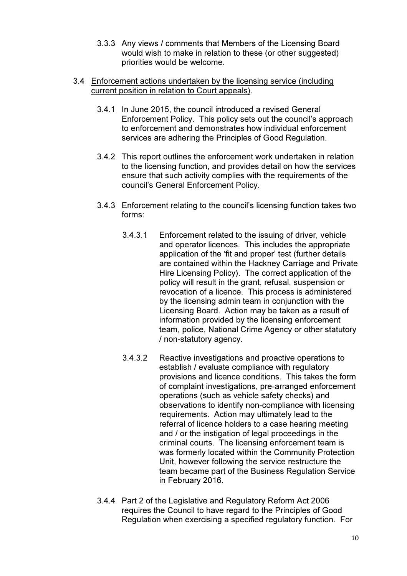- 3.3.3 Any views / comments that Members of the Licensing Board would wish to make in relation to these (or other suggested) priorities would be welcome.
- 3.4 Enforcement actions undertaken by the licensing service (including current position in relation to Court appeals).
	- 3.4.1 In June 2015, the council introduced a revised General Enforcement Policy. This policy sets out the council's approach to enforcement and demonstrates how individual enforcement services are adhering the Principles of Good Regulation.
	- 3.4.2 This report outlines the enforcement work undertaken in relation to the licensing function, and provides detail on how the services ensure that such activity complies with the requirements of the council's General Enforcement Policy.
	- 3.4.3 Enforcement relating to the council's licensing function takes two forms:
		- 3.4.3.1 Enforcement related to the issuing of driver, vehicle and operator licences. This includes the appropriate application of the 'fit and proper' test (further details are contained within the Hackney Carriage and Private Hire Licensing Policy). The correct application of the policy will result in the grant, refusal, suspension or revocation of a licence. This process is administered by the licensing admin team in conjunction with the Licensing Board. Action may be taken as a result of information provided by the licensing enforcement team, police, National Crime Agency or other statutory / non-statutory agency.
		- 3.4.3.2 Reactive investigations and proactive operations to establish / evaluate compliance with regulatory provisions and licence conditions. This takes the form of complaint investigations, pre-arranged enforcement operations (such as vehicle safety checks) and observations to identify non-compliance with licensing requirements. Action may ultimately lead to the referral of licence holders to a case hearing meeting and / or the instigation of legal proceedings in the criminal courts. The licensing enforcement team is was formerly located within the Community Protection Unit, however following the service restructure the team became part of the Business Regulation Service in February 2016.
	- 3.4.4 Part 2 of the Legislative and Regulatory Reform Act 2006 requires the Council to have regard to the Principles of Good Regulation when exercising a specified regulatory function. For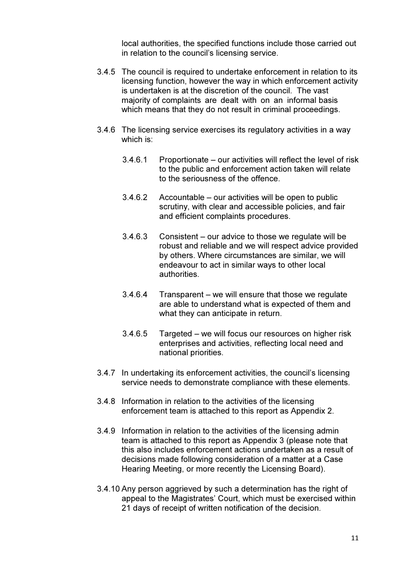local authorities, the specified functions include those carried out in relation to the council's licensing service.

- 3.4.5 The council is required to undertake enforcement in relation to its licensing function, however the way in which enforcement activity is undertaken is at the discretion of the council. The vast majority of complaints are dealt with on an informal basis which means that they do not result in criminal proceedings.
- 3.4.6 The licensing service exercises its regulatory activities in a way which is:
	- 3.4.6.1 Proportionate our activities will reflect the level of risk to the public and enforcement action taken will relate to the seriousness of the offence.
	- 3.4.6.2 Accountable our activities will be open to public scrutiny, with clear and accessible policies, and fair and efficient complaints procedures.
	- 3.4.6.3 Consistent our advice to those we regulate will be robust and reliable and we will respect advice provided by others. Where circumstances are similar, we will endeavour to act in similar ways to other local authorities.
	- 3.4.6.4 Transparent we will ensure that those we regulate are able to understand what is expected of them and what they can anticipate in return.
	- 3.4.6.5 Targeted we will focus our resources on higher risk enterprises and activities, reflecting local need and national priorities.
- 3.4.7 In undertaking its enforcement activities, the council's licensing service needs to demonstrate compliance with these elements.
- 3.4.8 Information in relation to the activities of the licensing enforcement team is attached to this report as Appendix 2.
- 3.4.9 Information in relation to the activities of the licensing admin team is attached to this report as Appendix 3 (please note that this also includes enforcement actions undertaken as a result of decisions made following consideration of a matter at a Case Hearing Meeting, or more recently the Licensing Board).
- 3.4.10 Any person aggrieved by such a determination has the right of appeal to the Magistrates' Court, which must be exercised within 21 days of receipt of written notification of the decision.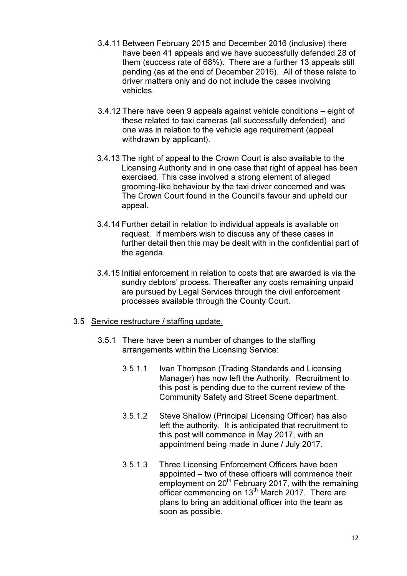- 3.4.11 Between February 2015 and December 2016 (inclusive) there have been 41 appeals and we have successfully defended 28 of them (success rate of 68%). There are a further 13 appeals still pending (as at the end of December 2016). All of these relate to driver matters only and do not include the cases involving vehicles.
- 3.4.12 There have been 9 appeals against vehicle conditions eight of these related to taxi cameras (all successfully defended), and one was in relation to the vehicle age requirement (appeal withdrawn by applicant).
- 3.4.13 The right of appeal to the Crown Court is also available to the Licensing Authority and in one case that right of appeal has been exercised. This case involved a strong element of alleged grooming-like behaviour by the taxi driver concerned and was The Crown Court found in the Council's favour and upheld our appeal.
- 3.4.14 Further detail in relation to individual appeals is available on request. If members wish to discuss any of these cases in further detail then this may be dealt with in the confidential part of the agenda.
- 3.4.15 Initial enforcement in relation to costs that are awarded is via the sundry debtors' process. Thereafter any costs remaining unpaid are pursued by Legal Services through the civil enforcement processes available through the County Court.
- 3.5 Service restructure / staffing update.
	- 3.5.1 There have been a number of changes to the staffing arrangements within the Licensing Service:
		- 3.5.1.1 Ivan Thompson (Trading Standards and Licensing Manager) has now left the Authority. Recruitment to this post is pending due to the current review of the Community Safety and Street Scene department.
		- 3.5.1.2 Steve Shallow (Principal Licensing Officer) has also left the authority. It is anticipated that recruitment to this post will commence in May 2017, with an appointment being made in June / July 2017.
		- 3.5.1.3 Three Licensing Enforcement Officers have been appointed – two of these officers will commence their employment on 20<sup>th</sup> February 2017, with the remaining officer commencing on 13<sup>th</sup> March 2017. There are plans to bring an additional officer into the team as soon as possible.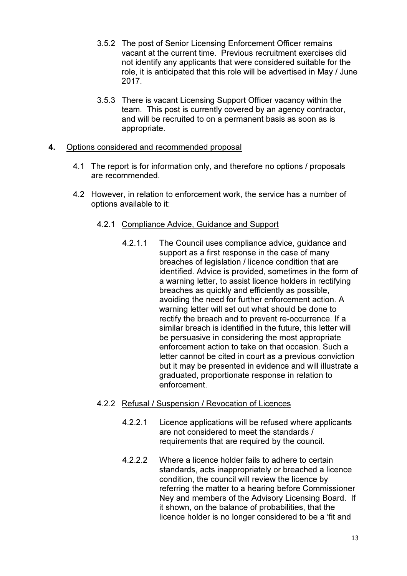- 3.5.2 The post of Senior Licensing Enforcement Officer remains vacant at the current time. Previous recruitment exercises did not identify any applicants that were considered suitable for the role, it is anticipated that this role will be advertised in May / June 2017.
- 3.5.3 There is vacant Licensing Support Officer vacancy within the team. This post is currently covered by an agency contractor, and will be recruited to on a permanent basis as soon as is appropriate.

### 4. Options considered and recommended proposal

- 4.1 The report is for information only, and therefore no options / proposals are recommended.
- 4.2 However, in relation to enforcement work, the service has a number of options available to it:

# 4.2.1 Compliance Advice, Guidance and Support

4.2.1.1 The Council uses compliance advice, guidance and support as a first response in the case of many breaches of legislation / licence condition that are identified. Advice is provided, sometimes in the form of a warning letter, to assist licence holders in rectifying breaches as quickly and efficiently as possible, avoiding the need for further enforcement action. A warning letter will set out what should be done to rectify the breach and to prevent re-occurrence. If a similar breach is identified in the future, this letter will be persuasive in considering the most appropriate enforcement action to take on that occasion. Such a letter cannot be cited in court as a previous conviction but it may be presented in evidence and will illustrate a graduated, proportionate response in relation to enforcement.

# 4.2.2 Refusal / Suspension / Revocation of Licences

- 4.2.2.1 Licence applications will be refused where applicants are not considered to meet the standards / requirements that are required by the council.
- 4.2.2.2 Where a licence holder fails to adhere to certain standards, acts inappropriately or breached a licence condition, the council will review the licence by referring the matter to a hearing before Commissioner Ney and members of the Advisory Licensing Board. If it shown, on the balance of probabilities, that the licence holder is no longer considered to be a 'fit and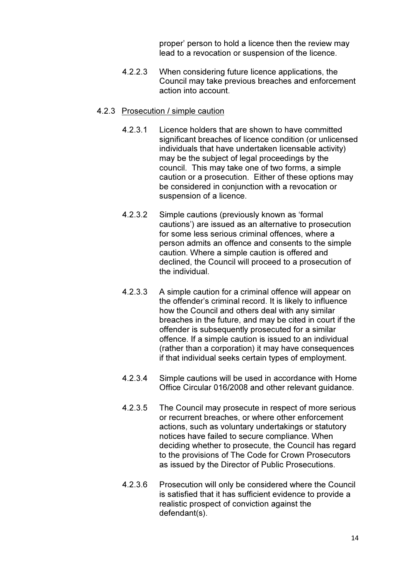proper' person to hold a licence then the review may lead to a revocation or suspension of the licence.

4.2.2.3 When considering future licence applications, the Council may take previous breaches and enforcement action into account.

### 4.2.3 Prosecution / simple caution

- 4.2.3.1 Licence holders that are shown to have committed significant breaches of licence condition (or unlicensed individuals that have undertaken licensable activity) may be the subject of legal proceedings by the council. This may take one of two forms, a simple caution or a prosecution. Either of these options may be considered in conjunction with a revocation or suspension of a licence.
- 4.2.3.2 Simple cautions (previously known as 'formal cautions') are issued as an alternative to prosecution for some less serious criminal offences, where a person admits an offence and consents to the simple caution. Where a simple caution is offered and declined, the Council will proceed to a prosecution of the individual.
- 4.2.3.3 A simple caution for a criminal offence will appear on the offender's criminal record. It is likely to influence how the Council and others deal with any similar breaches in the future, and may be cited in court if the offender is subsequently prosecuted for a similar offence. If a simple caution is issued to an individual (rather than a corporation) it may have consequences if that individual seeks certain types of employment.
- 4.2.3.4 Simple cautions will be used in accordance with Home Office Circular 016/2008 and other relevant guidance.
- 4.2.3.5 The Council may prosecute in respect of more serious or recurrent breaches, or where other enforcement actions, such as voluntary undertakings or statutory notices have failed to secure compliance. When deciding whether to prosecute, the Council has regard to the provisions of The Code for Crown Prosecutors as issued by the Director of Public Prosecutions.
- 4.2.3.6 Prosecution will only be considered where the Council is satisfied that it has sufficient evidence to provide a realistic prospect of conviction against the defendant(s).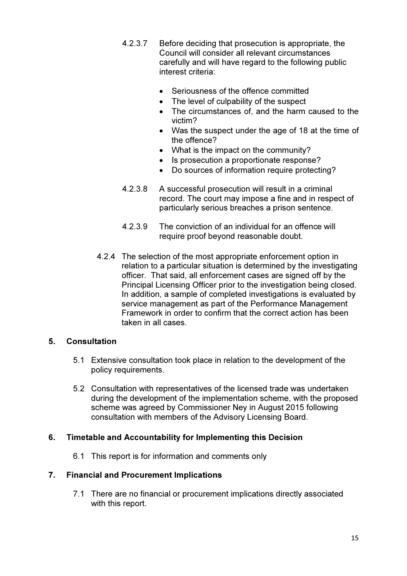- 4.2.3.7 Before deciding that prosecution is appropriate, the Council will consider all relevant circumstances carefully and will have regard to the following public interest criteria:
	- Seriousness of the offence committed
	- The level of culpability of the suspect
	- The circumstances of, and the harm caused to the victim?
	- Was the suspect under the age of 18 at the time of the offence?
	- What is the impact on the community?
	- Is prosecution a proportionate response?
	- Do sources of information require protecting?
- 4.2.3.8 A successful prosecution will result in a criminal record. The court may impose a fine and in respect of particularly serious breaches a prison sentence.
- 4.2.3.9 The conviction of an individual for an offence will require proof beyond reasonable doubt.
- 4.2.4 The selection of the most appropriate enforcement option in relation to a particular situation is determined by the investigating officer. That said, all enforcement cases are signed off by the Principal Licensing Officer prior to the investigation being closed. In addition, a sample of completed investigations is evaluated by service management as part of the Performance Management Framework in order to confirm that the correct action has been taken in all cases.

# 5. Consultation

- 5.1 Extensive consultation took place in relation to the development of the policy requirements.
- 5.2 Consultation with representatives of the licensed trade was undertaken during the development of the implementation scheme, with the proposed scheme was agreed by Commissioner Ney in August 2015 following consultation with members of the Advisory Licensing Board.

# 6. Timetable and Accountability for Implementing this Decision

6.1 This report is for information and comments only

# 7. Financial and Procurement Implications

7.1 There are no financial or procurement implications directly associated with this report.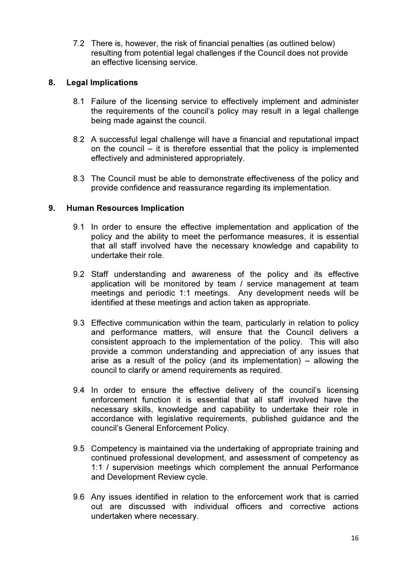7.2 There is, however, the risk of financial penalties (as outlined below) resulting from potential legal challenges if the Council does not provide an effective licensing service.

# 8. Legal Implications

- 8.1 Failure of the licensing service to effectively implement and administer the requirements of the council's policy may result in a legal challenge being made against the council.
- 8.2 A successful legal challenge will have a financial and reputational impact on the council – it is therefore essential that the policy is implemented effectively and administered appropriately.
- 8.3 The Council must be able to demonstrate effectiveness of the policy and provide confidence and reassurance regarding its implementation.

# 9. Human Resources Implication

- 9.1 In order to ensure the effective implementation and application of the policy and the ability to meet the performance measures, it is essential that all staff involved have the necessary knowledge and capability to undertake their role.
- 9.2 Staff understanding and awareness of the policy and its effective application will be monitored by team / service management at team meetings and periodic 1:1 meetings. Any development needs will be identified at these meetings and action taken as appropriate.
- 9.3 Effective communication within the team, particularly in relation to policy and performance matters, will ensure that the Council delivers a consistent approach to the implementation of the policy. This will also provide a common understanding and appreciation of any issues that arise as a result of the policy (and its implementation) – allowing the council to clarify or amend requirements as required.
- 9.4 In order to ensure the effective delivery of the council's licensing enforcement function it is essential that all staff involved have the necessary skills, knowledge and capability to undertake their role in accordance with legislative requirements, published guidance and the council's General Enforcement Policy.
- 9.5 Competency is maintained via the undertaking of appropriate training and continued professional development, and assessment of competency as 1:1 / supervision meetings which complement the annual Performance and Development Review cycle.
- 9.6 Any issues identified in relation to the enforcement work that is carried out are discussed with individual officers and corrective actions undertaken where necessary.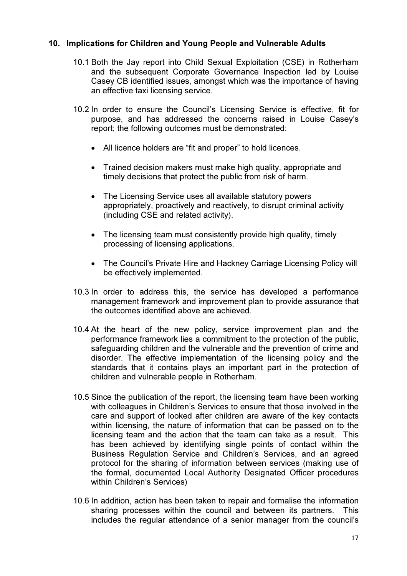# 10. Implications for Children and Young People and Vulnerable Adults

- 10.1 Both the Jay report into Child Sexual Exploitation (CSE) in Rotherham and the subsequent Corporate Governance Inspection led by Louise Casey CB identified issues, amongst which was the importance of having an effective taxi licensing service.
- 10.2 In order to ensure the Council's Licensing Service is effective, fit for purpose, and has addressed the concerns raised in Louise Casey's report; the following outcomes must be demonstrated:
	- All licence holders are "fit and proper" to hold licences.
	- Trained decision makers must make high quality, appropriate and timely decisions that protect the public from risk of harm.
	- The Licensing Service uses all available statutory powers appropriately, proactively and reactively, to disrupt criminal activity (including CSE and related activity).
	- The licensing team must consistently provide high quality, timely processing of licensing applications.
	- The Council's Private Hire and Hackney Carriage Licensing Policy will be effectively implemented.
- 10.3 In order to address this, the service has developed a performance management framework and improvement plan to provide assurance that the outcomes identified above are achieved.
- 10.4 At the heart of the new policy, service improvement plan and the performance framework lies a commitment to the protection of the public, safeguarding children and the vulnerable and the prevention of crime and disorder. The effective implementation of the licensing policy and the standards that it contains plays an important part in the protection of children and vulnerable people in Rotherham.
- 10.5 Since the publication of the report, the licensing team have been working with colleagues in Children's Services to ensure that those involved in the care and support of looked after children are aware of the key contacts within licensing, the nature of information that can be passed on to the licensing team and the action that the team can take as a result. This has been achieved by identifying single points of contact within the Business Regulation Service and Children's Services, and an agreed protocol for the sharing of information between services (making use of the formal, documented Local Authority Designated Officer procedures within Children's Services)
- 10.6 In addition, action has been taken to repair and formalise the information sharing processes within the council and between its partners. This includes the regular attendance of a senior manager from the council's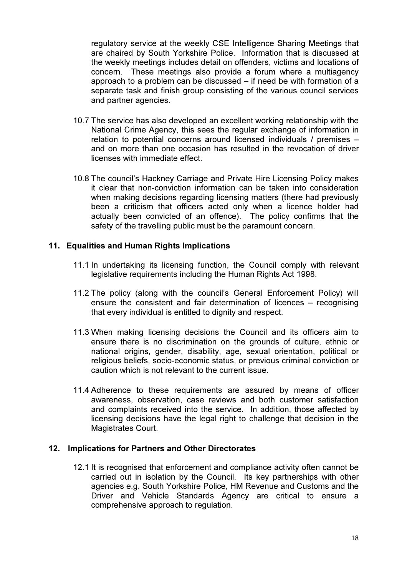regulatory service at the weekly CSE Intelligence Sharing Meetings that are chaired by South Yorkshire Police. Information that is discussed at the weekly meetings includes detail on offenders, victims and locations of concern. These meetings also provide a forum where a multiagency approach to a problem can be discussed – if need be with formation of a separate task and finish group consisting of the various council services and partner agencies.

- 10.7 The service has also developed an excellent working relationship with the National Crime Agency, this sees the regular exchange of information in relation to potential concerns around licensed individuals / premises – and on more than one occasion has resulted in the revocation of driver licenses with immediate effect.
- 10.8 The council's Hackney Carriage and Private Hire Licensing Policy makes it clear that non-conviction information can be taken into consideration when making decisions regarding licensing matters (there had previously been a criticism that officers acted only when a licence holder had actually been convicted of an offence). The policy confirms that the safety of the travelling public must be the paramount concern.

# 11. Equalities and Human Rights Implications

- 11.1 In undertaking its licensing function, the Council comply with relevant legislative requirements including the Human Rights Act 1998.
- 11.2 The policy (along with the council's General Enforcement Policy) will ensure the consistent and fair determination of licences – recognising that every individual is entitled to dignity and respect.
- 11.3 When making licensing decisions the Council and its officers aim to ensure there is no discrimination on the grounds of culture, ethnic or national origins, gender, disability, age, sexual orientation, political or religious beliefs, socio-economic status, or previous criminal conviction or caution which is not relevant to the current issue.
- 11.4 Adherence to these requirements are assured by means of officer awareness, observation, case reviews and both customer satisfaction and complaints received into the service. In addition, those affected by licensing decisions have the legal right to challenge that decision in the Magistrates Court.

### 12. Implications for Partners and Other Directorates

12.1 It is recognised that enforcement and compliance activity often cannot be carried out in isolation by the Council. Its key partnerships with other agencies e.g. South Yorkshire Police, HM Revenue and Customs and the Driver and Vehicle Standards Agency are critical to ensure a comprehensive approach to regulation.